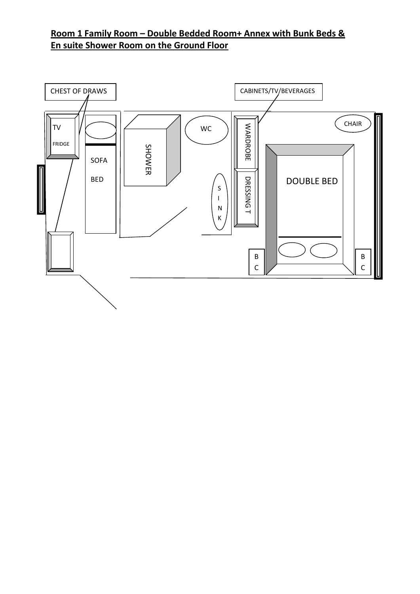## **Room 1 Family Room – Double Bedded Room+ Annex with Bunk Beds & En suite Shower Room on the Ground Floor**

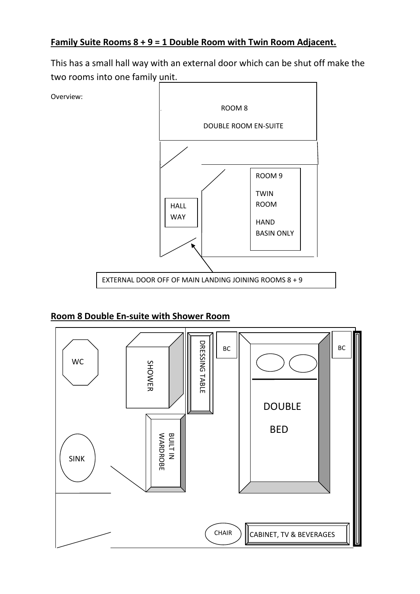### **Family Suite Rooms 8 + 9 = 1 Double Room with Twin Room Adjacent.**

This has a small hall way with an external door which can be shut off make the two rooms into one family unit.



#### **Room 8 Double En-suite with Shower Room**

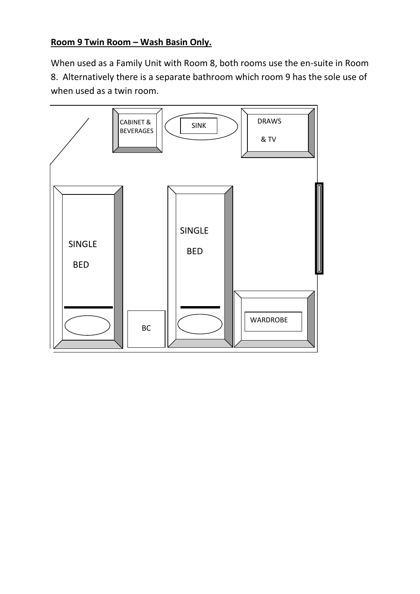## **Room 9 Twin Room – Wash Basin Only.**

When used as a Family Unit with Room 8, both rooms use the en-suite in Room 8. Alternatively there is a separate bathroom which room 9 has the sole use of when used as a twin room.

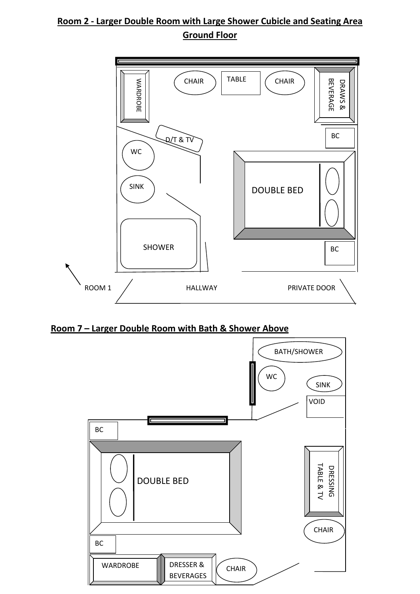# **Room 2 - Larger Double Room with Large Shower Cubicle and Seating Area Ground Floor**



**Room 7 – Larger Double Room with Bath & Shower Above**

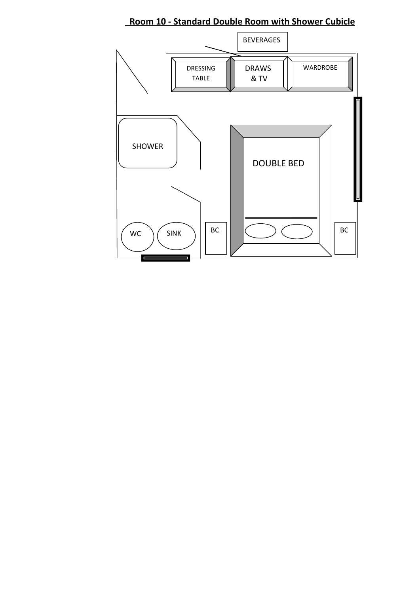**Room 10 - Standard Double Room with Shower Cubicle**